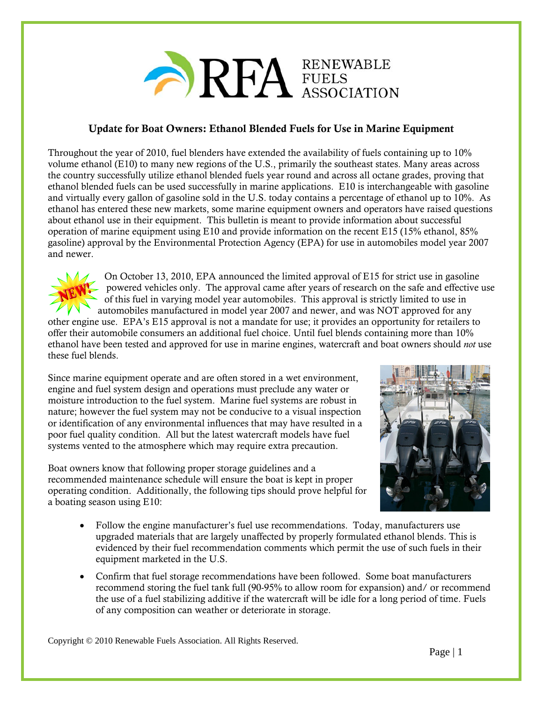

## Update for Boat Owners: Ethanol Blended Fuels for Use in Marine Equipment

Throughout the year of 2010, fuel blenders have extended the availability of fuels containing up to 10% volume ethanol (E10) to many new regions of the U.S., primarily the southeast states. Many areas across the country successfully utilize ethanol blended fuels year round and across all octane grades, proving that ethanol blended fuels can be used successfully in marine applications. E10 is interchangeable with gasoline and virtually every gallon of gasoline sold in the U.S. today contains a percentage of ethanol up to 10%. As ethanol has entered these new markets, some marine equipment owners and operators have raised questions about ethanol use in their equipment. This bulletin is meant to provide information about successful operation of marine equipment using E10 and provide information on the recent E15 (15% ethanol, 85% gasoline) approval by the Environmental Protection Agency (EPA) for use in automobiles model year 2007 and newer.



On October 13, 2010, EPA announced the limited approval of E15 for strict use in gasoline powered vehicles only. The approval came after years of research on the safe and effective use of this fuel in varying model year automobiles. This approval is strictly limited to use in automobiles manufactured in model year 2007 and newer, and was NOT approved for any

other engine use. EPA's E15 approval is not a mandate for use; it provides an opportunity for retailers to offer their automobile consumers an additional fuel choice. Until fuel blends containing more than 10% ethanol have been tested and approved for use in marine engines, watercraft and boat owners should *not* use these fuel blends.

Since marine equipment operate and are often stored in a wet environment, engine and fuel system design and operations must preclude any water or moisture introduction to the fuel system. Marine fuel systems are robust in nature; however the fuel system may not be conducive to a visual inspection or identification of any environmental influences that may have resulted in a poor fuel quality condition. All but the latest watercraft models have fuel systems vented to the atmosphere which may require extra precaution.

Boat owners know that following proper storage guidelines and a recommended maintenance schedule will ensure the boat is kept in proper operating condition. Additionally, the following tips should prove helpful for a boating season using E10:



- Follow the engine manufacturer's fuel use recommendations. Today, manufacturers use upgraded materials that are largely unaffected by properly formulated ethanol blends. This is evidenced by their fuel recommendation comments which permit the use of such fuels in their equipment marketed in the U.S.
- Confirm that fuel storage recommendations have been followed. Some boat manufacturers recommend storing the fuel tank full (90-95% to allow room for expansion) and/ or recommend the use of a fuel stabilizing additive if the watercraft will be idle for a long period of time. Fuels of any composition can weather or deteriorate in storage.

Copyright © 2010 Renewable Fuels Association. All Rights Reserved.